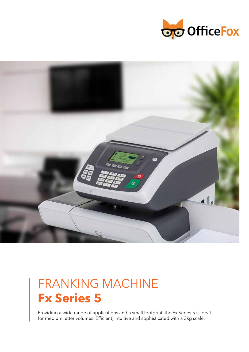



# FRANKING MACHINE **Fx Series 5**

Providing a wide range of applications and a small footprint, the Fx Series 5 is ideal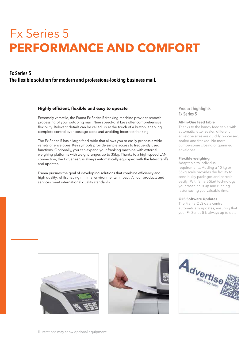# Fx Series 5 **PERFORMANCE AND COMFORT**

### Fx Series 5The flexible solution for modern and professiona-looking business mail.

#### Highly efficient, flexible and easy to operate

Extremely versatile, the Frama Fx Series 5 franking machine provides smooth processing of your outgoing mail. Nine speed-dial keys offer comprehensive flexibility. Relevant details can be called up at the touch of a button, enabling complete control over postage costs and avoiding incorrect franking.

The Fx Series 5 has a large feed table that allows you to easily process a wide variety of envelopes.Key symbols provide simple access to frequently used functions. Optionally, you can expand your franking machine with external weighing platforms with weight ranges up to 35kg.Thanks to a high-speed LAN connection, the Fx Series 5 is always automatically equipped with the latest tariffs and updates.

Frama pursues the goal of developing solutions that combine efficiency and high quality, whilst having minimal environmental impact.All our products and services meet international quality standards.

### Product highlights Fx Series 5

#### **All-In-One feed table**

Thanks to the handy feed table with automatic letter sealer, different envelope sizes are quickly processed, sealed and franked. No more cumbersome closing of gummed envelopes!

#### **Flexible weighing**

Adaptable to individual requirements.Adding a 10 kg or 35kg scale provides the facility to send bulky packages and parcels easily. With Smart-Start technology, your machine is up and running faster saving you valuable time.

#### **OLS Software Updates**

The Frama OLS data centre automatically updates, ensuring that your Fx Series 5 is always up to date.





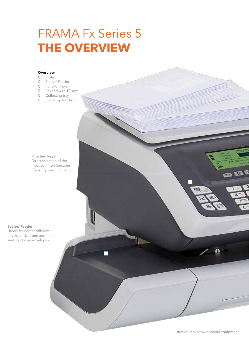# FRAMA Fx Series 5 **THE OVERVIEW**

#### **Overview**

- C Scale<br>C Seale
- Sealer/ Feeder
- Function keys
- Keypad with 10 keys
- Collecting tray
- Start/stop function

**Function keys** Direct selection of the most common functions (franking, weighing, etc.).

#### **Sealer/ Feeder**

Handy feeder for different envelope sizes and automatic sealing of your envelopes.

Illustration may show optional equipment.

面

OBE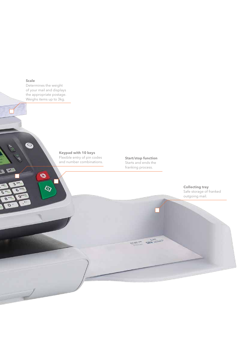#### **Scale**

 $\bullet$ 

 $\mathbb{R}^n$ 

 $\overline{s}$ O  $\epsilon$  $\alpha$  Determines the weight of your mail and displays the appropriate postage. Weighs items up to 3kg.

 $\bullet$ 

 $\ddot{\circ}$ 

### **Keypad with 10 keys**

Flexible entry of pin codes and number combinations. **Start/stop function** Starts and ends the franking process.

**CONTRACTOR** 

**Collecting tray** Safe storage of franked outgoing mail.